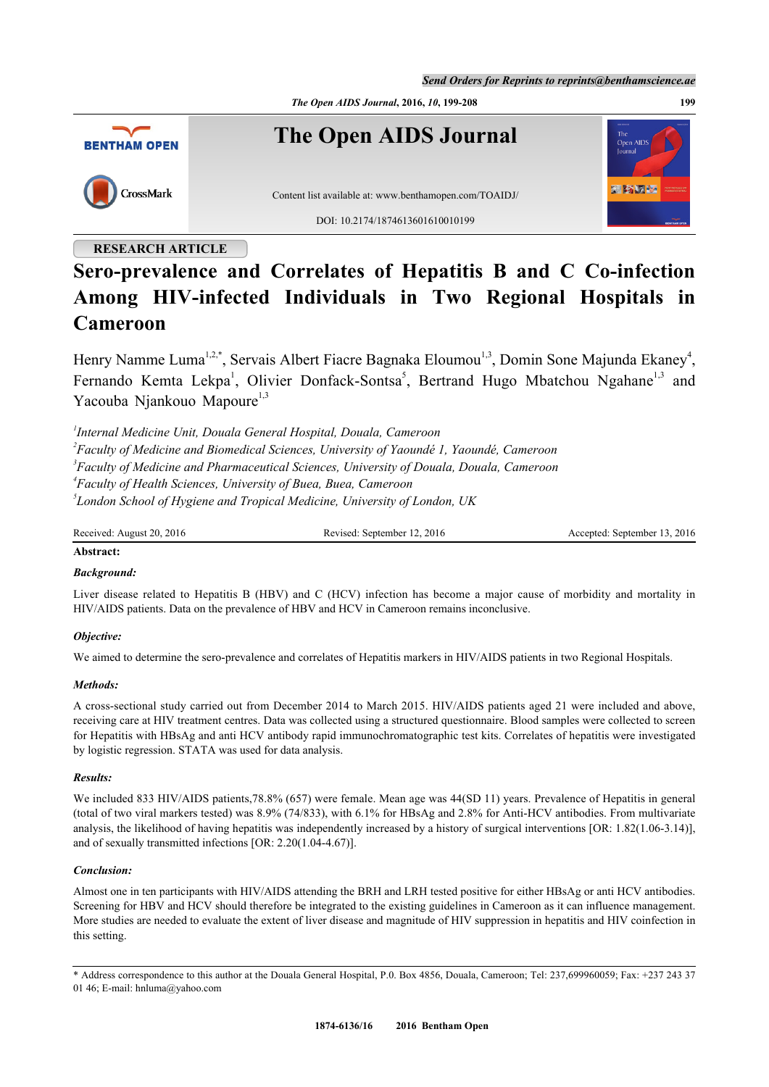*Send Orders for Reprints to reprints@benthamscience.ae*



# **RESEARCH ARTICLE**

# **Sero-prevalence and Correlates of Hepatitis B and C Co-infection Among HIV-infected Individuals in Two Regional Hospitals in Cameroon**

Henry Namme Luma<sup>[1](#page-0-0),[2](#page-0-1),[\\*](#page-0-2)</sup>, Servais Albert Fiacre Bagnaka Eloumou<sup>[1,](#page-0-0)[3](#page-0-3)</sup>, Domin Sone Majunda Ekaney<sup>[4](#page-0-4)</sup>, Fernando Kemta Lekpa<sup>[1](#page-0-0)</sup>, Olivier Donfack-Sontsa<sup>[5](#page-0-5)</sup>, Bertrand Hugo Mbatchou Ngahane<sup>[1,](#page-0-0)[3](#page-0-3)</sup> and Yacouba Njankouo Mapoure $1,3$  $1,3$  $1,3$ 

<span id="page-0-4"></span><span id="page-0-3"></span><span id="page-0-1"></span><span id="page-0-0"></span> *Internal Medicine Unit, Douala General Hospital, Douala, Cameroon Faculty of Medicine and Biomedical Sciences, University of Yaoundé 1, Yaoundé, Cameroon Faculty of Medicine and Pharmaceutical Sciences, University of Douala, Douala, Cameroon Faculty of Health Sciences, University of Buea, Buea, Cameroon London School of Hygiene and Tropical Medicine, University of London, UK*

<span id="page-0-5"></span>Received: August 20, 2016 Revised: September 12, 2016 Accepted: September 13, 2016

# **Abstract:**

# *Background:*

Liver disease related to Hepatitis B (HBV) and C (HCV) infection has become a major cause of morbidity and mortality in HIV/AIDS patients. Data on the prevalence of HBV and HCV in Cameroon remains inconclusive.

# *Objective:*

We aimed to determine the sero-prevalence and correlates of Hepatitis markers in HIV/AIDS patients in two Regional Hospitals.

# *Methods:*

A cross-sectional study carried out from December 2014 to March 2015. HIV/AIDS patients aged 21 were included and above, receiving care at HIV treatment centres. Data was collected using a structured questionnaire. Blood samples were collected to screen for Hepatitis with HBsAg and anti HCV antibody rapid immunochromatographic test kits. Correlates of hepatitis were investigated by logistic regression. STATA was used for data analysis.

# *Results:*

We included 833 HIV/AIDS patients,78.8% (657) were female. Mean age was 44(SD 11) years. Prevalence of Hepatitis in general (total of two viral markers tested) was 8.9% (74/833), with 6.1% for HBsAg and 2.8% for Anti-HCV antibodies. From multivariate analysis, the likelihood of having hepatitis was independently increased by a history of surgical interventions [OR: 1.82(1.06-3.14)], and of sexually transmitted infections [OR: 2.20(1.04-4.67)].

# *Conclusion:*

Almost one in ten participants with HIV/AIDS attending the BRH and LRH tested positive for either HBsAg or anti HCV antibodies. Screening for HBV and HCV should therefore be integrated to the existing guidelines in Cameroon as it can influence management. More studies are needed to evaluate the extent of liver disease and magnitude of HIV suppression in hepatitis and HIV coinfection in this setting.

<span id="page-0-2"></span>\* Address correspondence to this author at the Douala General Hospital, P.0. Box 4856, Douala, Cameroon; Tel: 237,699960059; Fax: +237 243 37 01 46; E-mail: [hnluma@yahoo.com](mailto:hnluma@yahoo.com)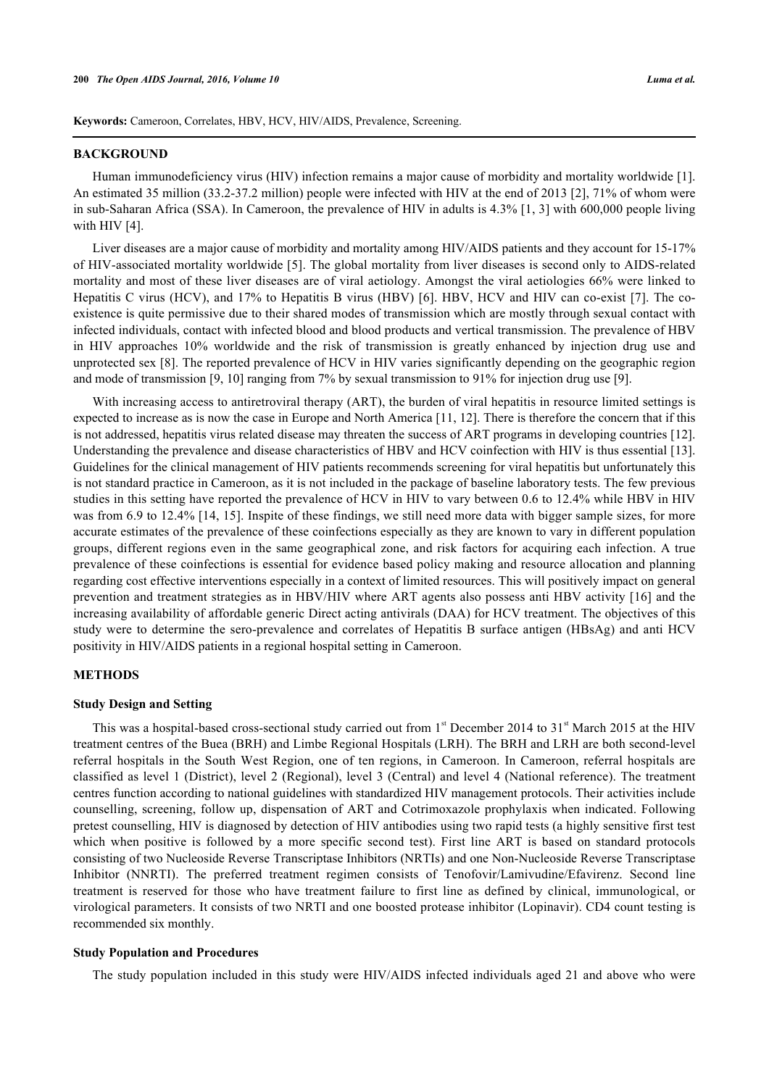**Keywords:** Cameroon, Correlates, HBV, HCV, HIV/AIDS, Prevalence, Screening.

#### **BACKGROUND**

Human immunodeficiency virus (HIV) infection remains a major cause of morbidity and mortality worldwide [[1\]](#page-7-0). An estimated 35 million (33.2-37.2 million) people were infected with HIV at the end of 2013 [\[2](#page-7-1)], 71% of whom were in sub-Saharan Africa (SSA). In Cameroon, the prevalence of HIV in adults is 4.3% [[1,](#page-7-0) [3](#page-7-2)] with 600,000 people living with HIV [[4\]](#page-7-3).

Liver diseases are a major cause of morbidity and mortality among HIV/AIDS patients and they account for 15-17% of HIV-associated mortality worldwide [[5\]](#page-7-4). The global mortality from liver diseases is second only to AIDS-related mortality and most of these liver diseases are of viral aetiology. Amongst the viral aetiologies 66% were linked to Hepatitis C virus (HCV), and 17% to Hepatitis B virus (HBV) [[6\]](#page-7-5). HBV, HCV and HIV can co-exist [[7\]](#page-7-6). The coexistence is quite permissive due to their shared modes of transmission which are mostly through sexual contact with infected individuals, contact with infected blood and blood products and vertical transmission. The prevalence of HBV in HIV approaches 10% worldwide and the risk of transmission is greatly enhanced by injection drug use and unprotected sex [\[8](#page-7-7)]. The reported prevalence of HCV in HIV varies significantly depending on the geographic region and mode of transmission [[9,](#page-7-8) [10\]](#page-7-9) ranging from 7% by sexual transmission to 91% for injection drug use [[9\]](#page-7-8).

With increasing access to antiretroviral therapy (ART), the burden of viral hepatitis in resource limited settings is expected to increase as is now the case in Europe and North America [[11,](#page-7-10) [12](#page-8-0)]. There is therefore the concern that if this is not addressed, hepatitis virus related disease may threaten the success of ART programs in developing countries [[12\]](#page-8-0). Understanding the prevalence and disease characteristics of HBV and HCV coinfection with HIV is thus essential [[13\]](#page-8-1). Guidelines for the clinical management of HIV patients recommends screening for viral hepatitis but unfortunately this is not standard practice in Cameroon, as it is not included in the package of baseline laboratory tests. The few previous studies in this setting have reported the prevalence of HCV in HIV to vary between 0.6 to 12.4% while HBV in HIV was from 6.9 to 12.4% [\[14](#page-8-2), [15\]](#page-8-3). Inspite of these findings, we still need more data with bigger sample sizes, for more accurate estimates of the prevalence of these coinfections especially as they are known to vary in different population groups, different regions even in the same geographical zone, and risk factors for acquiring each infection. A true prevalence of these coinfections is essential for evidence based policy making and resource allocation and planning regarding cost effective interventions especially in a context of limited resources. This will positively impact on general prevention and treatment strategies as in HBV/HIV where ART agents also possess anti HBV activity [[16](#page-8-4)] and the increasing availability of affordable generic Direct acting antivirals (DAA) for HCV treatment. The objectives of this study were to determine the sero-prevalence and correlates of Hepatitis B surface antigen (HBsAg) and anti HCV positivity in HIV/AIDS patients in a regional hospital setting in Cameroon.

## **METHODS**

#### **Study Design and Setting**

This was a hospital-based cross-sectional study carried out from  $1<sup>st</sup>$  December 2014 to 31<sup>st</sup> March 2015 at the HIV treatment centres of the Buea (BRH) and Limbe Regional Hospitals (LRH). The BRH and LRH are both second-level referral hospitals in the South West Region, one of ten regions, in Cameroon. In Cameroon, referral hospitals are classified as level 1 (District), level 2 (Regional), level 3 (Central) and level 4 (National reference). The treatment centres function according to national guidelines with standardized HIV management protocols. Their activities include counselling, screening, follow up, dispensation of ART and Cotrimoxazole prophylaxis when indicated. Following pretest counselling, HIV is diagnosed by detection of HIV antibodies using two rapid tests (a highly sensitive first test which when positive is followed by a more specific second test). First line ART is based on standard protocols consisting of two Nucleoside Reverse Transcriptase Inhibitors (NRTIs) and one Non-Nucleoside Reverse Transcriptase Inhibitor (NNRTI). The preferred treatment regimen consists of Tenofovir/Lamivudine/Efavirenz. Second line treatment is reserved for those who have treatment failure to first line as defined by clinical, immunological, or virological parameters. It consists of two NRTI and one boosted protease inhibitor (Lopinavir). CD4 count testing is recommended six monthly.

# **Study Population and Procedures**

The study population included in this study were HIV/AIDS infected individuals aged 21 and above who were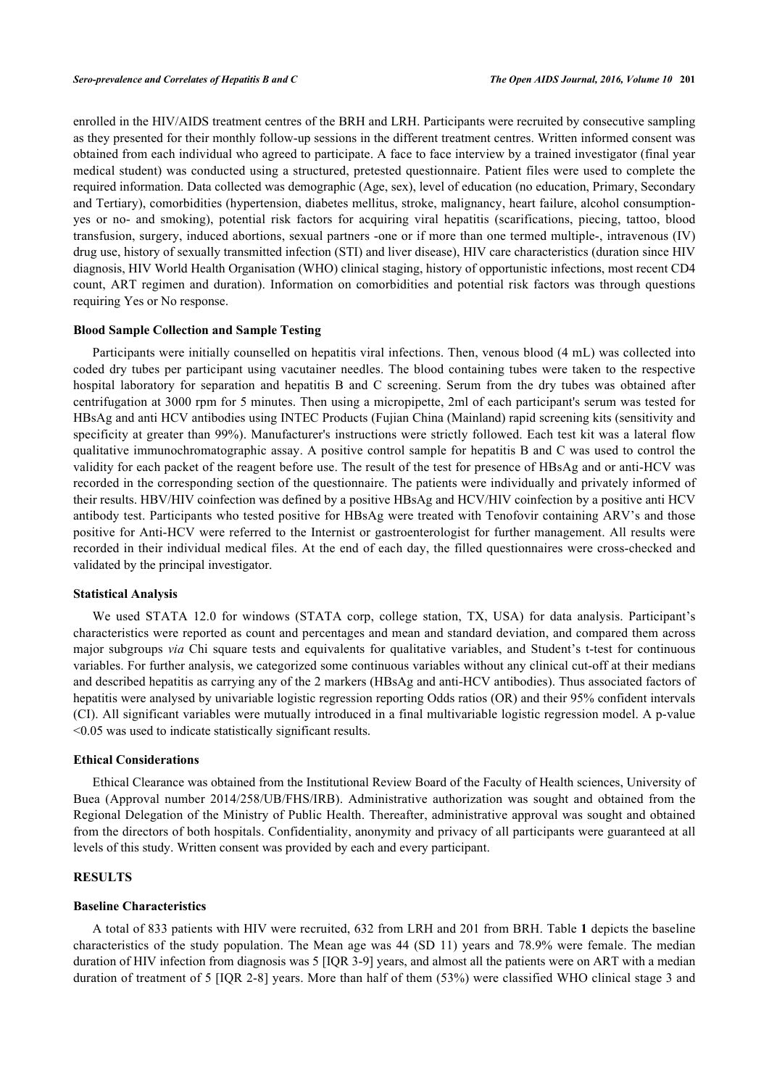enrolled in the HIV/AIDS treatment centres of the BRH and LRH. Participants were recruited by consecutive sampling as they presented for their monthly follow-up sessions in the different treatment centres. Written informed consent was obtained from each individual who agreed to participate. A face to face interview by a trained investigator (final year medical student) was conducted using a structured, pretested questionnaire. Patient files were used to complete the required information. Data collected was demographic (Age, sex), level of education (no education, Primary, Secondary and Tertiary), comorbidities (hypertension, diabetes mellitus, stroke, malignancy, heart failure, alcohol consumptionyes or no- and smoking), potential risk factors for acquiring viral hepatitis (scarifications, piecing, tattoo, blood transfusion, surgery, induced abortions, sexual partners -one or if more than one termed multiple-, intravenous (IV) drug use, history of sexually transmitted infection (STI) and liver disease), HIV care characteristics (duration since HIV diagnosis, HIV World Health Organisation (WHO) clinical staging, history of opportunistic infections, most recent CD4 count, ART regimen and duration). Information on comorbidities and potential risk factors was through questions requiring Yes or No response.

#### **Blood Sample Collection and Sample Testing**

Participants were initially counselled on hepatitis viral infections. Then, venous blood (4 mL) was collected into coded dry tubes per participant using vacutainer needles. The blood containing tubes were taken to the respective hospital laboratory for separation and hepatitis B and C screening. Serum from the dry tubes was obtained after centrifugation at 3000 rpm for 5 minutes. Then using a micropipette, 2ml of each participant's serum was tested for HBsAg and anti HCV antibodies using INTEC Products (Fujian China (Mainland) rapid screening kits (sensitivity and specificity at greater than 99%). Manufacturer's instructions were strictly followed. Each test kit was a lateral flow qualitative immunochromatographic assay. A positive control sample for hepatitis B and C was used to control the validity for each packet of the reagent before use. The result of the test for presence of HBsAg and or anti-HCV was recorded in the corresponding section of the questionnaire. The patients were individually and privately informed of their results. HBV/HIV coinfection was defined by a positive HBsAg and HCV/HIV coinfection by a positive anti HCV antibody test. Participants who tested positive for HBsAg were treated with Tenofovir containing ARV's and those positive for Anti-HCV were referred to the Internist or gastroenterologist for further management. All results were recorded in their individual medical files. At the end of each day, the filled questionnaires were cross-checked and validated by the principal investigator.

#### **Statistical Analysis**

We used STATA 12.0 for windows (STATA corp, college station, TX, USA) for data analysis. Participant's characteristics were reported as count and percentages and mean and standard deviation, and compared them across major subgroups *via* Chi square tests and equivalents for qualitative variables, and Student's t-test for continuous variables. For further analysis, we categorized some continuous variables without any clinical cut-off at their medians and described hepatitis as carrying any of the 2 markers (HBsAg and anti-HCV antibodies). Thus associated factors of hepatitis were analysed by univariable logistic regression reporting Odds ratios (OR) and their 95% confident intervals (CI). All significant variables were mutually introduced in a final multivariable logistic regression model. A p-value <0.05 was used to indicate statistically significant results.

#### **Ethical Considerations**

Ethical Clearance was obtained from the Institutional Review Board of the Faculty of Health sciences, University of Buea (Approval number 2014/258/UB/FHS/IRB). Administrative authorization was sought and obtained from the Regional Delegation of the Ministry of Public Health. Thereafter, administrative approval was sought and obtained from the directors of both hospitals. Confidentiality, anonymity and privacy of all participants were guaranteed at all levels of this study. Written consent was provided by each and every participant.

#### **RESULTS**

#### **Baseline Characteristics**

A total of 833 patients with HIV were recruited, 632 from LRH and 201 from BRH. Table **[1](#page-3-0)** depicts the baseline characteristics of the study population. The Mean age was 44 (SD 11) years and 78.9% were female. The median duration of HIV infection from diagnosis was 5 [IQR 3-9] years, and almost all the patients were on ART with a median duration of treatment of 5 [IQR 2-8] years. More than half of them (53%) were classified WHO clinical stage 3 and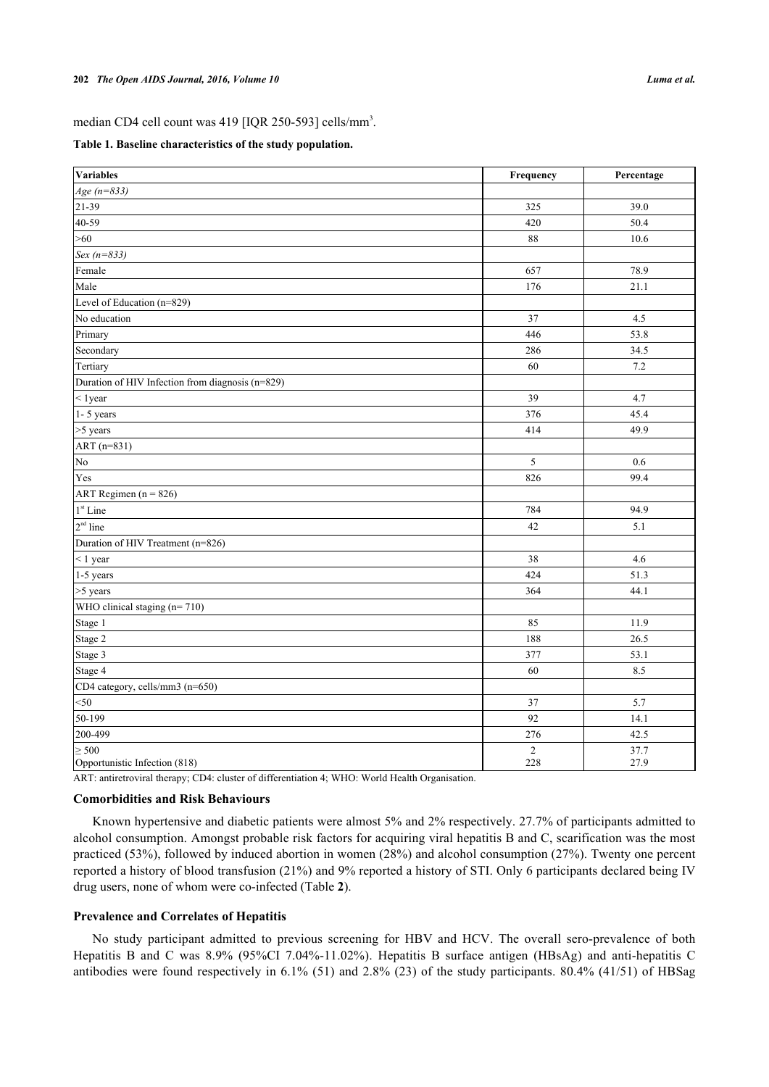<span id="page-3-0"></span>**Table 1. Baseline characteristics of the study population.**

| Variables                                        | Frequency             | Percentage   |
|--------------------------------------------------|-----------------------|--------------|
| $Age (n = 833)$                                  |                       |              |
| 21-39                                            | 325                   | 39.0         |
| $40 - 59$                                        | 420                   | 50.4         |
| >60                                              | 88                    | 10.6         |
| Sex $(n=833)$                                    |                       |              |
| Female                                           | 657                   | 78.9         |
| Male                                             | 176                   | 21.1         |
| Level of Education (n=829)                       |                       |              |
| No education                                     | 37                    | 4.5          |
| Primary                                          | 446                   | 53.8         |
| Secondary                                        | 286                   | 34.5         |
| Tertiary                                         | 60                    | 7.2          |
| Duration of HIV Infection from diagnosis (n=829) |                       |              |
| $1 year$                                         | 39                    | 4.7          |
| $1 - 5$ years                                    | 376                   | 45.4         |
| >5 years                                         | 414                   | 49.9         |
| ART (n=831)                                      |                       |              |
| N <sub>0</sub>                                   | 5                     | 0.6          |
| Yes                                              | 826                   | 99.4         |
| ART Regimen $(n = 826)$                          |                       |              |
| 1 <sup>st</sup> Line                             | 784                   | 94.9         |
| $2nd$ line                                       | 42                    | 5.1          |
| Duration of HIV Treatment (n=826)                |                       |              |
| $<$ 1 year                                       | 38                    | 4.6          |
| 1-5 years                                        | 424                   | 51.3         |
| >5 years                                         | 364                   | 44.1         |
| WHO clinical staging $(n=710)$                   |                       |              |
| Stage 1                                          | 85                    | 11.9         |
| Stage 2                                          | 188                   | 26.5         |
| Stage 3                                          | 377                   | 53.1         |
| Stage 4                                          | 60                    | 8.5          |
| CD4 category, cells/mm3 (n=650)                  |                       |              |
| $50$                                             | 37                    | 5.7          |
| 50-199                                           | 92                    | 14.1         |
| 200-499                                          | 276                   | 42.5         |
| $\geq 500$<br>Opportunistic Infection (818)      | $\overline{2}$<br>228 | 37.7<br>27.9 |

ART: antiretroviral therapy; CD4: cluster of differentiation 4; WHO: World Health Organisation.

#### **Comorbidities and Risk Behaviours**

Known hypertensive and diabetic patients were almost 5% and 2% respectively. 27.7% of participants admitted to alcohol consumption. Amongst probable risk factors for acquiring viral hepatitis B and C, scarification was the most practiced (53%), followed by induced abortion in women (28%) and alcohol consumption (27%). Twenty one percent reported a history of blood transfusion (21%) and 9% reported a history of STI. Only 6 participants declared being IV drug users, none of whom were co-infected (Table **[2](#page-4-0)**).

#### **Prevalence and Correlates of Hepatitis**

No study participant admitted to previous screening for HBV and HCV. The overall sero-prevalence of both Hepatitis B and C was 8.9% (95%CI 7.04%-11.02%). Hepatitis B surface antigen (HBsAg) and anti-hepatitis C antibodies were found respectively in 6.1% (51) and 2.8% (23) of the study participants. 80.4% (41/51) of HBSag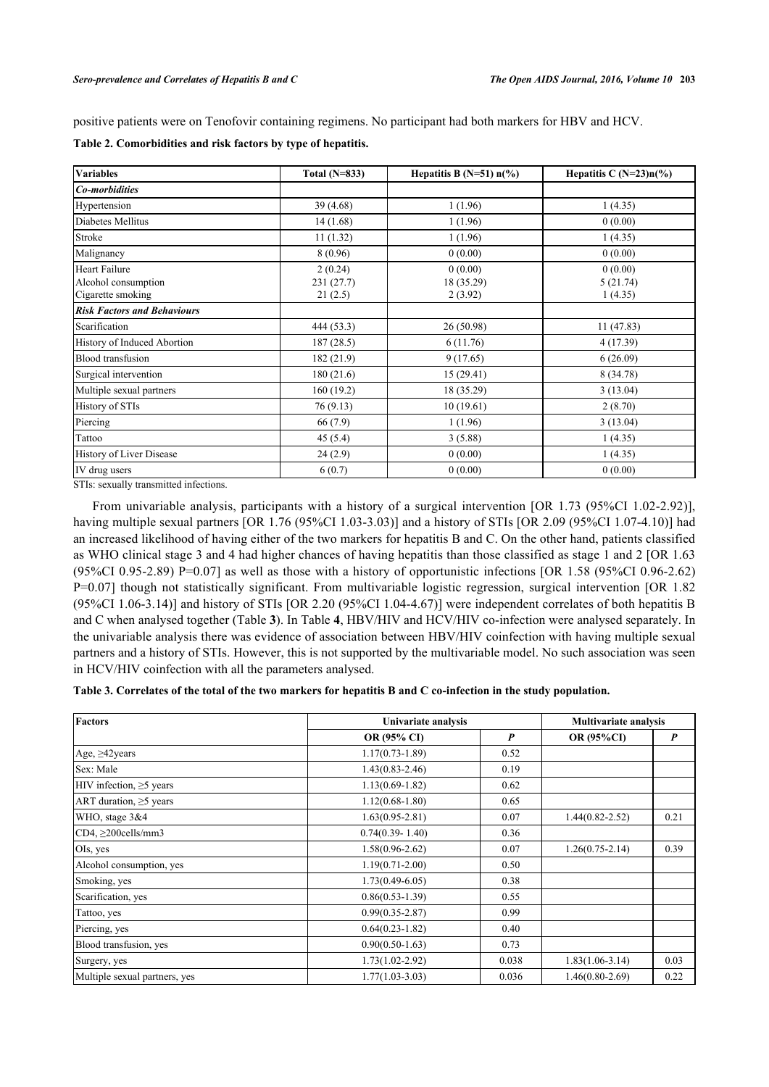positive patients were on Tenofovir containing regimens. No participant had both markers for HBV and HCV.

| <b>Variables</b>                                          | Total $(N=833)$                  | Hepatitis B (N=51) $n$ (%)       | Hepatitis C $(N=23)n(\%)$      |
|-----------------------------------------------------------|----------------------------------|----------------------------------|--------------------------------|
| Co-morbidities                                            |                                  |                                  |                                |
| Hypertension                                              | 39(4.68)                         | 1(1.96)                          | 1(4.35)                        |
| Diabetes Mellitus                                         | 14(1.68)                         | 1(1.96)                          | 0(0.00)                        |
| Stroke                                                    | 11(1.32)                         | 1(1.96)                          | 1(4.35)                        |
| Malignancy                                                | 8(0.96)                          | 0(0.00)                          | 0(0.00)                        |
| Heart Failure<br>Alcohol consumption<br>Cigarette smoking | 2(0.24)<br>231 (27.7)<br>21(2.5) | 0(0.00)<br>18 (35.29)<br>2(3.92) | 0(0.00)<br>5(21.74)<br>1(4.35) |
| <b>Risk Factors and Behaviours</b>                        |                                  |                                  |                                |
| Scarification                                             | 444 (53.3)                       | 26(50.98)                        | 11(47.83)                      |
| History of Induced Abortion                               | 187(28.5)                        | 6(11.76)                         | 4(17.39)                       |
| <b>Blood</b> transfusion                                  | 182(21.9)                        | 9(17.65)                         | 6(26.09)                       |
| Surgical intervention                                     | 180(21.6)                        | 15(29.41)                        | 8 (34.78)                      |
| Multiple sexual partners                                  | 160(19.2)                        | 18 (35.29)                       | 3(13.04)                       |
| History of STIs                                           | 76(9.13)                         | 10(19.61)                        | 2(8.70)                        |
| Piercing                                                  | 66 (7.9)                         | 1(1.96)                          | 3(13.04)                       |
| Tattoo                                                    | 45(5.4)                          | 3(5.88)                          | 1(4.35)                        |
| History of Liver Disease                                  | 24(2.9)                          | 0(0.00)                          | 1(4.35)                        |
| IV drug users                                             | 6(0.7)                           | 0(0.00)                          | 0(0.00)                        |

<span id="page-4-0"></span>**Table 2. Comorbidities and risk factors by type of hepatitis.**

STIs: sexually transmitted infections.

From univariable analysis, participants with a history of a surgical intervention [OR 1.73 (95%CI 1.02-2.92)], having multiple sexual partners [OR 1.76 (95%CI 1.03-3.03)] and a history of STIs [OR 2.09 (95%CI 1.07-4.10)] had an increased likelihood of having either of the two markers for hepatitis B and C. On the other hand, patients classified as WHO clinical stage 3 and 4 had higher chances of having hepatitis than those classified as stage 1 and 2 [OR 1.63 (95%CI 0.95-2.89) P=0.07] as well as those with a history of opportunistic infections [OR 1.58 (95%CI 0.96-2.62) P=0.07] though not statistically significant. From multivariable logistic regression, surgical intervention [OR 1.82 (95%CI 1.06-3.14)] and history of STIs [OR 2.20 (95%CI 1.04-4.67)] were independent correlates of both hepatitis B and C when analysed together (Table **[3](#page-4-1)**). In Table **[4](#page-5-0)**, HBV/HIV and HCV/HIV co-infection were analysed separately. In the univariable analysis there was evidence of association between HBV/HIV coinfection with having multiple sexual partners and a history of STIs. However, this is not supported by the multivariable model. No such association was seen in HCV/HIV coinfection with all the parameters analysed.

<span id="page-4-1"></span>**Table 3. Correlates of the total of the two markers for hepatitis B and C co-infection in the study population.**

| <b>Factors</b>                | Univariate analysis | <b>Multivariate analysis</b> |                     |      |
|-------------------------------|---------------------|------------------------------|---------------------|------|
|                               | OR (95% CI)         | P                            | <b>OR (95%CI)</b>   | P    |
| Age, $\geq$ 42years           | $1.17(0.73 - 1.89)$ | 0.52                         |                     |      |
| Sex: Male                     | $1.43(0.83 - 2.46)$ | 0.19                         |                     |      |
| HIV infection, $\geq$ 5 years | $1.13(0.69 - 1.82)$ | 0.62                         |                     |      |
| ART duration, $\geq$ 5 years  | $1.12(0.68 - 1.80)$ | 0.65                         |                     |      |
| WHO, stage 3&4                | $1.63(0.95 - 2.81)$ | 0.07                         | $1.44(0.82 - 2.52)$ | 0.21 |
| $CD4, \geq 200$ cells/mm3     | $0.74(0.39 - 1.40)$ | 0.36                         |                     |      |
| OIs, yes                      | $1.58(0.96 - 2.62)$ | 0.07                         | $1.26(0.75 - 2.14)$ | 0.39 |
| Alcohol consumption, yes      | $1.19(0.71 - 2.00)$ | 0.50                         |                     |      |
| Smoking, yes                  | $1.73(0.49 - 6.05)$ | 0.38                         |                     |      |
| Scarification, yes            | $0.86(0.53 - 1.39)$ | 0.55                         |                     |      |
| Tattoo, yes                   | $0.99(0.35 - 2.87)$ | 0.99                         |                     |      |
| Piercing, yes                 | $0.64(0.23-1.82)$   | 0.40                         |                     |      |
| Blood transfusion, yes        | $0.90(0.50-1.63)$   | 0.73                         |                     |      |
| Surgery, yes                  | $1.73(1.02 - 2.92)$ | 0.038                        | $1.83(1.06-3.14)$   | 0.03 |
| Multiple sexual partners, yes | $1.77(1.03 - 3.03)$ | 0.036                        | $1.46(0.80-2.69)$   | 0.22 |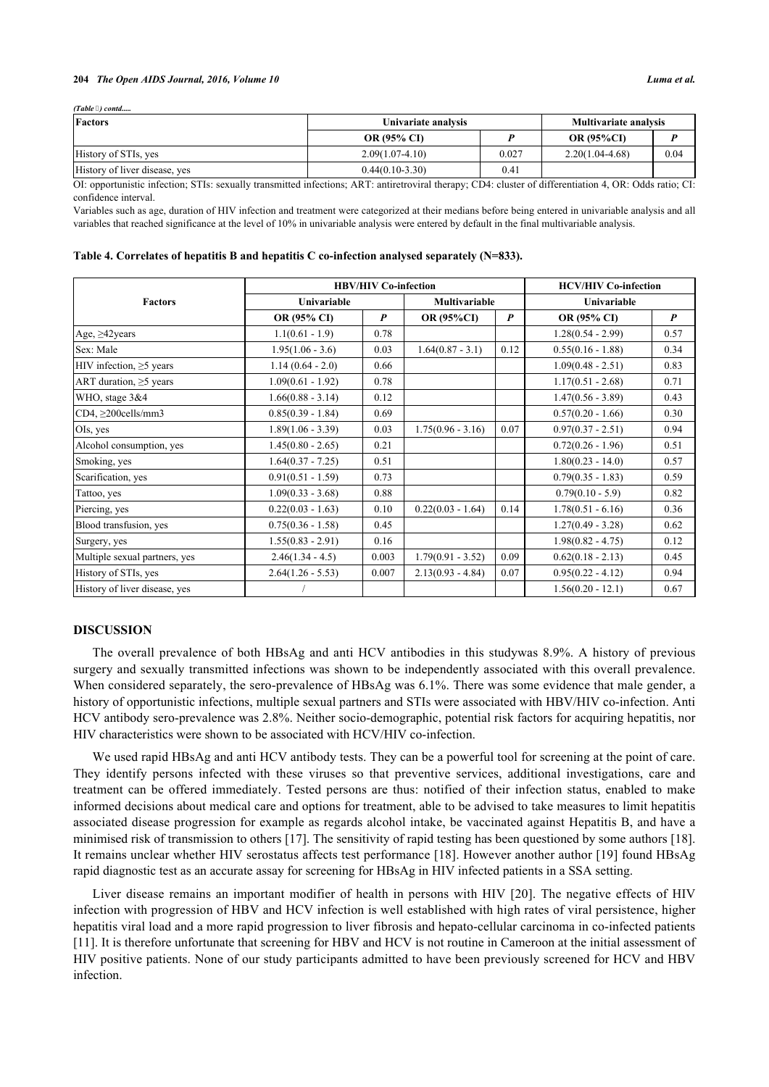#### **204** *The Open AIDS Journal, 2016, Volume 10 Luma et al.*

*(Table ) contd.....*

| Factors                       | Univariate analysis |       | Multivariate analysis |      |
|-------------------------------|---------------------|-------|-----------------------|------|
|                               | <b>OR (95% CD)</b>  |       | <b>OR (95%CI)</b>     |      |
| History of STIs, yes          | $2.09(1.07-4.10)$   | 0.027 | 2.20(1.04-4.68)       | 0.04 |
| History of liver disease, yes | $0.44(0.10-3.30)$   | 0.41  |                       |      |

OI: opportunistic infection; STIs: sexually transmitted infections; ART: antiretroviral therapy; CD4: cluster of differentiation 4, OR: Odds ratio; CI: confidence interval.

Variables such as age, duration of HIV infection and treatment were categorized at their medians before being entered in univariable analysis and all variables that reached significance at the level of 10% in univariable analysis were entered by default in the final multivariable analysis.

#### <span id="page-5-0"></span>**Table 4. Correlates of hepatitis B and hepatitis C co-infection analysed separately (N=833).**

|                               | <b>HBV/HIV Co-infection</b> |                  |                      |                  | <b>HCV/HIV Co-infection</b> |                  |
|-------------------------------|-----------------------------|------------------|----------------------|------------------|-----------------------------|------------------|
| <b>Factors</b>                | Univariable                 |                  | <b>Multivariable</b> |                  | Univariable                 |                  |
|                               | <b>OR (95% CI)</b>          | $\boldsymbol{P}$ | <b>OR (95%CI)</b>    | $\boldsymbol{P}$ | OR (95% CI)                 | $\boldsymbol{P}$ |
| Age, $\geq$ 42 years          | $1.1(0.61 - 1.9)$           | 0.78             |                      |                  | $1.28(0.54 - 2.99)$         | 0.57             |
| Sex: Male                     | $1.95(1.06 - 3.6)$          | 0.03             | $1.64(0.87 - 3.1)$   | 0.12             | $0.55(0.16 - 1.88)$         | 0.34             |
| HIV infection, $\geq$ 5 years | $1.14(0.64 - 2.0)$          | 0.66             |                      |                  | $1.09(0.48 - 2.51)$         | 0.83             |
| ART duration, $\geq$ 5 years  | $1.09(0.61 - 1.92)$         | 0.78             |                      |                  | $1.17(0.51 - 2.68)$         | 0.71             |
| WHO, stage 3&4                | $1.66(0.88 - 3.14)$         | 0.12             |                      |                  | $1.47(0.56 - 3.89)$         | 0.43             |
| $CD4, \geq 200$ cells/mm3     | $0.85(0.39 - 1.84)$         | 0.69             |                      |                  | $0.57(0.20 - 1.66)$         | 0.30             |
| OIs, yes                      | $1.89(1.06 - 3.39)$         | 0.03             | $1.75(0.96 - 3.16)$  | 0.07             | $0.97(0.37 - 2.51)$         | 0.94             |
| Alcohol consumption, yes      | $1.45(0.80 - 2.65)$         | 0.21             |                      |                  | $0.72(0.26 - 1.96)$         | 0.51             |
| Smoking, yes                  | $1.64(0.37 - 7.25)$         | 0.51             |                      |                  | $1.80(0.23 - 14.0)$         | 0.57             |
| Scarification, yes            | $0.91(0.51 - 1.59)$         | 0.73             |                      |                  | $0.79(0.35 - 1.83)$         | 0.59             |
| Tattoo, yes                   | $1.09(0.33 - 3.68)$         | 0.88             |                      |                  | $0.79(0.10 - 5.9)$          | 0.82             |
| Piercing, yes                 | $0.22(0.03 - 1.63)$         | 0.10             | $0.22(0.03 - 1.64)$  | 0.14             | $1.78(0.51 - 6.16)$         | 0.36             |
| Blood transfusion, yes        | $0.75(0.36 - 1.58)$         | 0.45             |                      |                  | $1.27(0.49 - 3.28)$         | 0.62             |
| Surgery, yes                  | $1.55(0.83 - 2.91)$         | 0.16             |                      |                  | $1.98(0.82 - 4.75)$         | 0.12             |
| Multiple sexual partners, yes | $2.46(1.34 - 4.5)$          | 0.003            | $1.79(0.91 - 3.52)$  | 0.09             | $0.62(0.18 - 2.13)$         | 0.45             |
| History of STIs, yes          | $2.64(1.26 - 5.53)$         | 0.007            | $2.13(0.93 - 4.84)$  | 0.07             | $0.95(0.22 - 4.12)$         | 0.94             |
| History of liver disease, yes |                             |                  |                      |                  | $1.56(0.20 - 12.1)$         | 0.67             |

#### **DISCUSSION**

The overall prevalence of both HBsAg and anti HCV antibodies in this studywas 8.9%. A history of previous surgery and sexually transmitted infections was shown to be independently associated with this overall prevalence. When considered separately, the sero-prevalence of HBsAg was 6.1%. There was some evidence that male gender, a history of opportunistic infections, multiple sexual partners and STIs were associated with HBV/HIV co-infection. Anti HCV antibody sero-prevalence was 2.8%. Neither socio-demographic, potential risk factors for acquiring hepatitis, nor HIV characteristics were shown to be associated with HCV/HIV co-infection.

We used rapid HBsAg and anti HCV antibody tests. They can be a powerful tool for screening at the point of care. They identify persons infected with these viruses so that preventive services, additional investigations, care and treatment can be offered immediately. Tested persons are thus: notified of their infection status, enabled to make informed decisions about medical care and options for treatment, able to be advised to take measures to limit hepatitis associated disease progression for example as regards alcohol intake, be vaccinated against Hepatitis B, and have a minimised risk of transmission to others [[17](#page-8-5)]. The sensitivity of rapid testing has been questioned by some authors [[18\]](#page-8-6). It remains unclear whether HIV serostatus affects test performance [[18\]](#page-8-6). However another author [[19](#page-8-7)] found HBsAg rapid diagnostic test as an accurate assay for screening for HBsAg in HIV infected patients in a SSA setting.

Liver disease remains an important modifier of health in persons with HIV [[20](#page-8-8)]. The negative effects of HIV infection with progression of HBV and HCV infection is well established with high rates of viral persistence, higher hepatitis viral load and a more rapid progression to liver fibrosis and hepato-cellular carcinoma in co-infected patients [\[11](#page-7-10)]. It is therefore unfortunate that screening for HBV and HCV is not routine in Cameroon at the initial assessment of HIV positive patients. None of our study participants admitted to have been previously screened for HCV and HBV infection.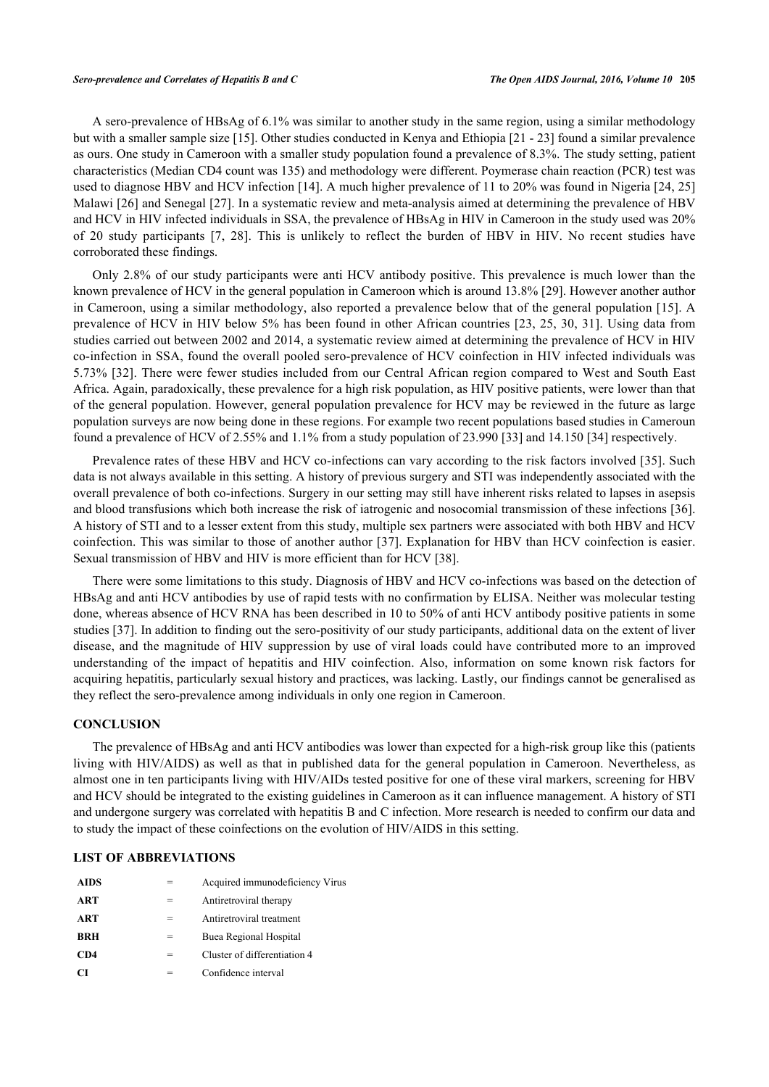A sero-prevalence of HBsAg of 6.1% was similar to another study in the same region, using a similar methodology but with a smaller sample size [[15\]](#page-8-3). Other studies conducted in Kenya and Ethiopia [[21](#page-8-9) - [23](#page-8-10)] found a similar prevalence as ours. One study in Cameroon with a smaller study population found a prevalence of 8.3%. The study setting, patient characteristics (Median CD4 count was 135) and methodology were different. Poymerase chain reaction (PCR) test was used to diagnose HBV and HCV infection [\[14](#page-8-2)]. A much higher prevalence of 11 to 20% was found in Nigeria [[24,](#page-8-11) [25](#page-8-12)] Malawi [[26\]](#page-8-13) and Senegal [[27\]](#page-8-14). In a systematic review and meta-analysis aimed at determining the prevalence of HBV and HCV in HIV infected individuals in SSA, the prevalence of HBsAg in HIV in Cameroon in the study used was 20% of 20 study participants[[7,](#page-7-6) [28\]](#page-8-15). This is unlikely to reflect the burden of HBV in HIV. No recent studies have corroborated these findings.

Only 2.8% of our study participants were anti HCV antibody positive. This prevalence is much lower than the known prevalence of HCV in the general population in Cameroon which is around 13.8% [[29\]](#page-8-16). However another author in Cameroon, using a similar methodology, also reported a prevalence below that of the general population [[15](#page-8-3)]. A prevalence of HCV in HIV below 5% has been found in other African countries [[23](#page-8-10), [25](#page-8-12), [30,](#page-8-17) [31\]](#page-8-18). Using data from studies carried out between 2002 and 2014, a systematic review aimed at determining the prevalence of HCV in HIV co-infection in SSA, found the overall pooled sero-prevalence of HCV coinfection in HIV infected individuals was 5.73% [[32](#page-9-0)]. There were fewer studies included from our Central African region compared to West and South East Africa. Again, paradoxically, these prevalence for a high risk population, as HIV positive patients, were lower than that of the general population. However, general population prevalence for HCV may be reviewed in the future as large population surveys are now being done in these regions. For example two recent populations based studies in Cameroun found a prevalence of HCV of 2.55% and 1.1% from a study population of 23.990 [[33\]](#page-9-1) and 14.150 [[34\]](#page-9-2) respectively.

Prevalence rates of these HBV and HCV co-infections can vary according to the risk factors involved [[35](#page-9-3)]. Such data is not always available in this setting. A history of previous surgery and STI was independently associated with the overall prevalence of both co-infections. Surgery in our setting may still have inherent risks related to lapses in asepsis and blood transfusions which both increase the risk of iatrogenic and nosocomial transmission of these infections [[36\]](#page-9-4). A history of STI and to a lesser extent from this study, multiple sex partners were associated with both HBV and HCV coinfection. This was similar to those of another author [\[37\]](#page-9-5). Explanation for HBV than HCV coinfection is easier. Sexual transmission of HBV and HIV is more efficient than for HCV [[38\]](#page-9-6).

There were some limitations to this study. Diagnosis of HBV and HCV co-infections was based on the detection of HBsAg and anti HCV antibodies by use of rapid tests with no confirmation by ELISA. Neither was molecular testing done, whereas absence of HCV RNA has been described in 10 to 50% of anti HCV antibody positive patients in some studies [[37\]](#page-9-5). In addition to finding out the sero-positivity of our study participants, additional data on the extent of liver disease, and the magnitude of HIV suppression by use of viral loads could have contributed more to an improved understanding of the impact of hepatitis and HIV coinfection. Also, information on some known risk factors for acquiring hepatitis, particularly sexual history and practices, was lacking. Lastly, our findings cannot be generalised as they reflect the sero-prevalence among individuals in only one region in Cameroon.

#### **CONCLUSION**

The prevalence of HBsAg and anti HCV antibodies was lower than expected for a high-risk group like this (patients living with HIV/AIDS) as well as that in published data for the general population in Cameroon. Nevertheless, as almost one in ten participants living with HIV/AIDs tested positive for one of these viral markers, screening for HBV and HCV should be integrated to the existing guidelines in Cameroon as it can influence management. A history of STI and undergone surgery was correlated with hepatitis B and C infection. More research is needed to confirm our data and to study the impact of these coinfections on the evolution of HIV/AIDS in this setting.

# **LIST OF ABBREVIATIONS**

| <b>AIDS</b> |     | Acquired immunodeficiency Virus |
|-------------|-----|---------------------------------|
| <b>ART</b>  |     | Antiretroviral therapy          |
| <b>ART</b>  |     | Antiretroviral treatment        |
| <b>BRH</b>  | $=$ | Buea Regional Hospital          |
| CD4         | =   | Cluster of differentiation 4    |
| CТ          |     | Confidence interval             |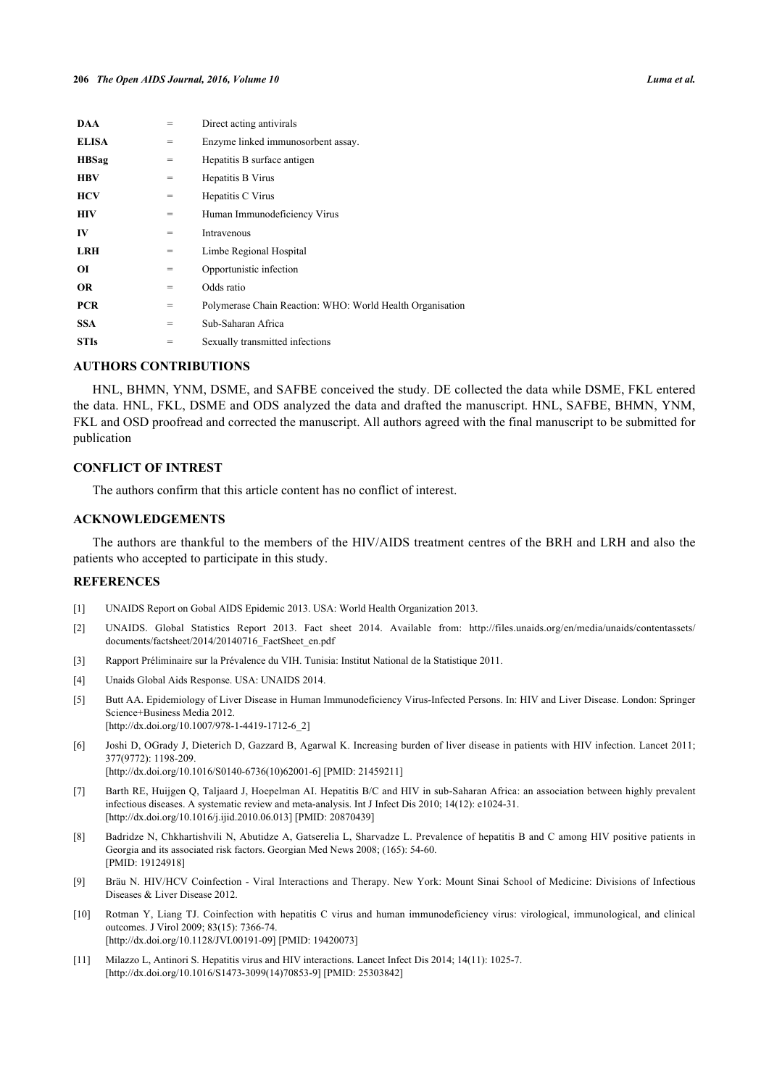| DAA          | =   | Direct acting antivirals                                  |
|--------------|-----|-----------------------------------------------------------|
| <b>ELISA</b> | $=$ | Enzyme linked immunosorbent assay.                        |
| <b>HBSag</b> | $=$ | Hepatitis B surface antigen                               |
| <b>HBV</b>   | $=$ | Hepatitis B Virus                                         |
| <b>HCV</b>   | $=$ | Hepatitis C Virus                                         |
| HIV          | $=$ | Human Immunodeficiency Virus                              |
| IV           | $=$ | Intravenous                                               |
| <b>LRH</b>   | $=$ | Limbe Regional Hospital                                   |
| ОI           | $=$ | Opportunistic infection                                   |
| <b>OR</b>    | $=$ | Odds ratio                                                |
| <b>PCR</b>   | $=$ | Polymerase Chain Reaction: WHO: World Health Organisation |
| <b>SSA</b>   | $=$ | Sub-Saharan Africa                                        |
| <b>STIs</b>  | =   | Sexually transmitted infections                           |

## **AUTHORS CONTRIBUTIONS**

HNL, BHMN, YNM, DSME, and SAFBE conceived the study. DE collected the data while DSME, FKL entered the data. HNL, FKL, DSME and ODS analyzed the data and drafted the manuscript. HNL, SAFBE, BHMN, YNM, FKL and OSD proofread and corrected the manuscript. All authors agreed with the final manuscript to be submitted for publication

#### **CONFLICT OF INTREST**

The authors confirm that this article content has no conflict of interest.

# **ACKNOWLEDGEMENTS**

The authors are thankful to the members of the HIV/AIDS treatment centres of the BRH and LRH and also the patients who accepted to participate in this study.

#### **REFERENCES**

- <span id="page-7-0"></span>[1] UNAIDS Report on Gobal AIDS Epidemic 2013. USA: World Health Organization 2013.
- <span id="page-7-1"></span>[2] UNAIDS. Global Statistics Report 2013. Fact sheet 2014. Available from: [http://files.unaids.org/en/media/unaids/contentassets/](http://files.unaids.org/en/media/unaids/contentassets/documents/factsheet/2014/20140716_FactSheet_en.pdf) [documents/factsheet/2014/20140716\\_FactSheet\\_en.pdf](http://files.unaids.org/en/media/unaids/contentassets/documents/factsheet/2014/20140716_FactSheet_en.pdf)
- <span id="page-7-2"></span>[3] Rapport Préliminaire sur la Prévalence du VIH. Tunisia: Institut National de la Statistique 2011.
- <span id="page-7-3"></span>[4] Unaids Global Aids Response. USA: UNAIDS 2014.
- <span id="page-7-4"></span>[5] Butt AA. Epidemiology of Liver Disease in Human Immunodeficiency Virus-Infected Persons. In: HIV and Liver Disease. London: Springer Science+Business Media 2012. [\[http://dx.doi.org/10.1007/978-1-4419-1712-6\\_2](http://dx.doi.org/10.1007/978-1-4419-1712-6_2)]
- <span id="page-7-5"></span>[6] Joshi D, OGrady J, Dieterich D, Gazzard B, Agarwal K. Increasing burden of liver disease in patients with HIV infection. Lancet 2011; 377(9772): 1198-209. [\[http://dx.doi.org/10.1016/S0140-6736\(10\)62001-6\]](http://dx.doi.org/10.1016/S0140-6736(10)62001-6) [PMID: [21459211](http://www.ncbi.nlm.nih.gov/pubmed/21459211)]
- <span id="page-7-6"></span>[7] Barth RE, Huijgen Q, Taljaard J, Hoepelman AI. Hepatitis B/C and HIV in sub-Saharan Africa: an association between highly prevalent infectious diseases. A systematic review and meta-analysis. Int J Infect Dis 2010; 14(12): e1024-31.
- <span id="page-7-7"></span>[\[http://dx.doi.org/10.1016/j.ijid.2010.06.013\]](http://dx.doi.org/10.1016/j.ijid.2010.06.013) [PMID: [20870439](http://www.ncbi.nlm.nih.gov/pubmed/20870439)] [8] Badridze N, Chkhartishvili N, Abutidze A, Gatserelia L, Sharvadze L. Prevalence of hepatitis B and C among HIV positive patients in Georgia and its associated risk factors. Georgian Med News 2008; (165): 54-60.
- <span id="page-7-8"></span>[PMID: [19124918\]](http://www.ncbi.nlm.nih.gov/pubmed/19124918) [9] Bräu N. HIV/HCV Coinfection - Viral Interactions and Therapy. New York: Mount Sinai School of Medicine: Divisions of Infectious Diseases & Liver Disease 2012.
- <span id="page-7-9"></span>[10] Rotman Y, Liang TJ. Coinfection with hepatitis C virus and human immunodeficiency virus: virological, immunological, and clinical outcomes. J Virol 2009; 83(15): 7366-74. [\[http://dx.doi.org/10.1128/JVI.00191-09](http://dx.doi.org/10.1128/JVI.00191-09)] [PMID: [19420073\]](http://www.ncbi.nlm.nih.gov/pubmed/19420073)
- <span id="page-7-10"></span>[11] Milazzo L, Antinori S. Hepatitis virus and HIV interactions. Lancet Infect Dis 2014; 14(11): 1025-7. [\[http://dx.doi.org/10.1016/S1473-3099\(14\)70853-9\]](http://dx.doi.org/10.1016/S1473-3099(14)70853-9) [PMID: [25303842](http://www.ncbi.nlm.nih.gov/pubmed/25303842)]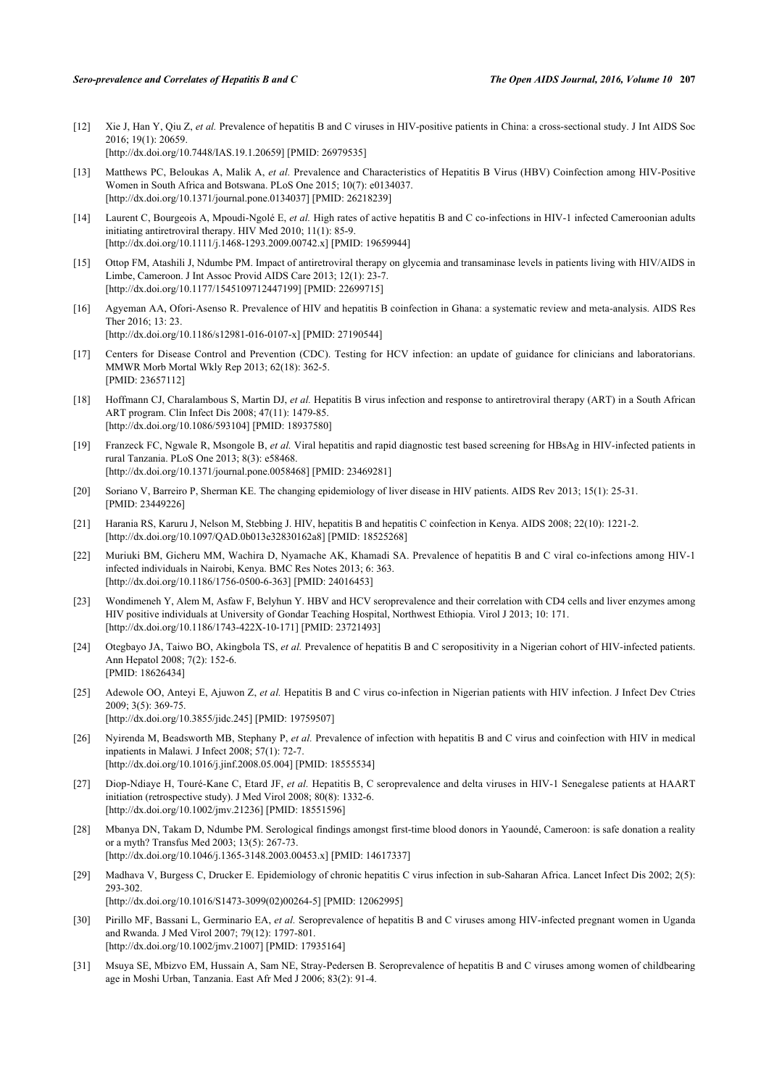- <span id="page-8-0"></span>[12] Xie J, Han Y, Qiu Z, *et al.* Prevalence of hepatitis B and C viruses in HIV-positive patients in China: a cross-sectional study. J Int AIDS Soc 2016; 19(1): 20659. [\[http://dx.doi.org/10.7448/IAS.19.1.20659\]](http://dx.doi.org/10.7448/IAS.19.1.20659) [PMID: [26979535](http://www.ncbi.nlm.nih.gov/pubmed/26979535)]
- <span id="page-8-1"></span>[13] Matthews PC, Beloukas A, Malik A, *et al.* Prevalence and Characteristics of Hepatitis B Virus (HBV) Coinfection among HIV-Positive Women in South Africa and Botswana. PLoS One 2015; 10(7): e0134037. [\[http://dx.doi.org/10.1371/journal.pone.0134037](http://dx.doi.org/10.1371/journal.pone.0134037)] [PMID: [26218239\]](http://www.ncbi.nlm.nih.gov/pubmed/26218239)
- <span id="page-8-2"></span>[14] Laurent C, Bourgeois A, Mpoudi-Ngolé E, *et al.* High rates of active hepatitis B and C co-infections in HIV-1 infected Cameroonian adults initiating antiretroviral therapy. HIV Med 2010; 11(1): 85-9. [\[http://dx.doi.org/10.1111/j.1468-1293.2009.00742.x\]](http://dx.doi.org/10.1111/j.1468-1293.2009.00742.x) [PMID: [19659944](http://www.ncbi.nlm.nih.gov/pubmed/19659944)]
- <span id="page-8-3"></span>[15] Ottop FM, Atashili J, Ndumbe PM. Impact of antiretroviral therapy on glycemia and transaminase levels in patients living with HIV/AIDS in Limbe, Cameroon. J Int Assoc Provid AIDS Care 2013; 12(1): 23-7. [\[http://dx.doi.org/10.1177/1545109712447199\]](http://dx.doi.org/10.1177/1545109712447199) [PMID: [22699715](http://www.ncbi.nlm.nih.gov/pubmed/22699715)]
- <span id="page-8-4"></span>[16] Agyeman AA, Ofori-Asenso R. Prevalence of HIV and hepatitis B coinfection in Ghana: a systematic review and meta-analysis. AIDS Res Ther 2016; 13: 23. [\[http://dx.doi.org/10.1186/s12981-016-0107-x\]](http://dx.doi.org/10.1186/s12981-016-0107-x) [PMID: [27190544](http://www.ncbi.nlm.nih.gov/pubmed/27190544)]
- <span id="page-8-5"></span>[17] Centers for Disease Control and Prevention (CDC). Testing for HCV infection: an update of guidance for clinicians and laboratorians. MMWR Morb Mortal Wkly Rep 2013; 62(18): 362-5. [PMID: [23657112\]](http://www.ncbi.nlm.nih.gov/pubmed/23657112)
- <span id="page-8-6"></span>[18] Hoffmann CJ, Charalambous S, Martin DJ, *et al.* Hepatitis B virus infection and response to antiretroviral therapy (ART) in a South African ART program. Clin Infect Dis 2008; 47(11): 1479-85. [\[http://dx.doi.org/10.1086/593104\]](http://dx.doi.org/10.1086/593104) [PMID: [18937580](http://www.ncbi.nlm.nih.gov/pubmed/18937580)]
- <span id="page-8-7"></span>[19] Franzeck FC, Ngwale R, Msongole B, *et al.* Viral hepatitis and rapid diagnostic test based screening for HBsAg in HIV-infected patients in rural Tanzania. PLoS One 2013; 8(3): e58468. [\[http://dx.doi.org/10.1371/journal.pone.0058468](http://dx.doi.org/10.1371/journal.pone.0058468)] [PMID: [23469281\]](http://www.ncbi.nlm.nih.gov/pubmed/23469281)
- <span id="page-8-8"></span>[20] Soriano V, Barreiro P, Sherman KE. The changing epidemiology of liver disease in HIV patients. AIDS Rev 2013; 15(1): 25-31. [PMID: [23449226\]](http://www.ncbi.nlm.nih.gov/pubmed/23449226)
- <span id="page-8-9"></span>[21] Harania RS, Karuru J, Nelson M, Stebbing J. HIV, hepatitis B and hepatitis C coinfection in Kenya. AIDS 2008; 22(10): 1221-2. [\[http://dx.doi.org/10.1097/QAD.0b013e32830162a8](http://dx.doi.org/10.1097/QAD.0b013e32830162a8)] [PMID: [18525268\]](http://www.ncbi.nlm.nih.gov/pubmed/18525268)
- [22] Muriuki BM, Gicheru MM, Wachira D, Nyamache AK, Khamadi SA. Prevalence of hepatitis B and C viral co-infections among HIV-1 infected individuals in Nairobi, Kenya. BMC Res Notes 2013; 6: 363. [\[http://dx.doi.org/10.1186/1756-0500-6-363\]](http://dx.doi.org/10.1186/1756-0500-6-363) [PMID: [24016453](http://www.ncbi.nlm.nih.gov/pubmed/24016453)]
- <span id="page-8-10"></span>[23] Wondimeneh Y, Alem M, Asfaw F, Belyhun Y. HBV and HCV seroprevalence and their correlation with CD4 cells and liver enzymes among HIV positive individuals at University of Gondar Teaching Hospital, Northwest Ethiopia. Virol J 2013; 10: 171. [\[http://dx.doi.org/10.1186/1743-422X-10-171\]](http://dx.doi.org/10.1186/1743-422X-10-171) [PMID: [23721493](http://www.ncbi.nlm.nih.gov/pubmed/23721493)]
- <span id="page-8-11"></span>[24] Otegbayo JA, Taiwo BO, Akingbola TS, *et al.* Prevalence of hepatitis B and C seropositivity in a Nigerian cohort of HIV-infected patients. Ann Hepatol 2008; 7(2): 152-6. [PMID: [18626434\]](http://www.ncbi.nlm.nih.gov/pubmed/18626434)
- <span id="page-8-12"></span>[25] Adewole OO, Anteyi E, Ajuwon Z, et al. Hepatitis B and C virus co-infection in Nigerian patients with HIV infection. J Infect Dev Ctries 2009; 3(5): 369-75. [\[http://dx.doi.org/10.3855/jidc.245\]](http://dx.doi.org/10.3855/jidc.245) [PMID: [19759507](http://www.ncbi.nlm.nih.gov/pubmed/19759507)]
- <span id="page-8-13"></span>[26] Nyirenda M, Beadsworth MB, Stephany P, *et al.* Prevalence of infection with hepatitis B and C virus and coinfection with HIV in medical inpatients in Malawi. J Infect 2008; 57(1): 72-7. [\[http://dx.doi.org/10.1016/j.jinf.2008.05.004](http://dx.doi.org/10.1016/j.jinf.2008.05.004)] [PMID: [18555534\]](http://www.ncbi.nlm.nih.gov/pubmed/18555534)
- <span id="page-8-14"></span>[27] Diop-Ndiaye H, Touré-Kane C, Etard JF, *et al.* Hepatitis B, C seroprevalence and delta viruses in HIV-1 Senegalese patients at HAART initiation (retrospective study). J Med Virol 2008; 80(8): 1332-6. [\[http://dx.doi.org/10.1002/jmv.21236](http://dx.doi.org/10.1002/jmv.21236)] [PMID: [18551596\]](http://www.ncbi.nlm.nih.gov/pubmed/18551596)
- <span id="page-8-15"></span>[28] Mbanya DN, Takam D, Ndumbe PM. Serological findings amongst first-time blood donors in Yaoundé, Cameroon: is safe donation a reality or a myth? Transfus Med 2003; 13(5): 267-73. [\[http://dx.doi.org/10.1046/j.1365-3148.2003.00453.x\]](http://dx.doi.org/10.1046/j.1365-3148.2003.00453.x) [PMID: [14617337](http://www.ncbi.nlm.nih.gov/pubmed/14617337)]
- <span id="page-8-16"></span>[29] Madhava V, Burgess C, Drucker E. Epidemiology of chronic hepatitis C virus infection in sub-Saharan Africa. Lancet Infect Dis 2002; 2(5): 293-302. [\[http://dx.doi.org/10.1016/S1473-3099\(02\)00264-5\]](http://dx.doi.org/10.1016/S1473-3099(02)00264-5) [PMID: [12062995](http://www.ncbi.nlm.nih.gov/pubmed/12062995)]
- <span id="page-8-17"></span>[30] Pirillo MF, Bassani L, Germinario EA, *et al.* Seroprevalence of hepatitis B and C viruses among HIV-infected pregnant women in Uganda and Rwanda. J Med Virol 2007; 79(12): 1797-801. [\[http://dx.doi.org/10.1002/jmv.21007](http://dx.doi.org/10.1002/jmv.21007)] [PMID: [17935164\]](http://www.ncbi.nlm.nih.gov/pubmed/17935164)
- <span id="page-8-18"></span>[31] Msuya SE, Mbizvo EM, Hussain A, Sam NE, Stray-Pedersen B. Seroprevalence of hepatitis B and C viruses among women of childbearing age in Moshi Urban, Tanzania. East Afr Med J 2006; 83(2): 91-4.